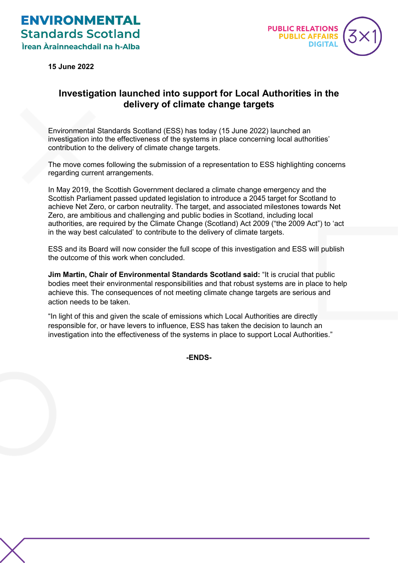

**15 June 2022**

## **Investigation launched into support for Local Authorities in the delivery of climate change targets**

Environmental Standards Scotland (ESS) has today (15 June 2022) launched an investigation into the effectiveness of the systems in place concerning local authorities' contribution to the delivery of climate change targets.

The move comes following the submission of a representation to ESS highlighting concerns regarding current arrangements.

In May 2019, the Scottish Government declared a climate change emergency and the Scottish Parliament passed updated legislation to introduce a 2045 target for Scotland to achieve Net Zero, or carbon neutrality. The target, and associated milestones towards Net Zero, are ambitious and challenging and public bodies in Scotland, including local authorities, are required by the Climate Change (Scotland) Act 2009 ("the 2009 Act") to 'act in the way best calculated' to contribute to the delivery of climate targets.

ESS and its Board will now consider the full scope of this investigation and ESS will publish the outcome of this work when concluded.

**Jim Martin, Chair of Environmental Standards Scotland said:** "It is crucial that public bodies meet their environmental responsibilities and that robust systems are in place to help achieve this. The consequences of not meeting climate change targets are serious and action needs to be taken.

"In light of this and given the scale of emissions which Local Authorities are directly responsible for, or have levers to influence, ESS has taken the decision to launch an investigation into the effectiveness of the systems in place to support Local Authorities."

**-ENDS-**